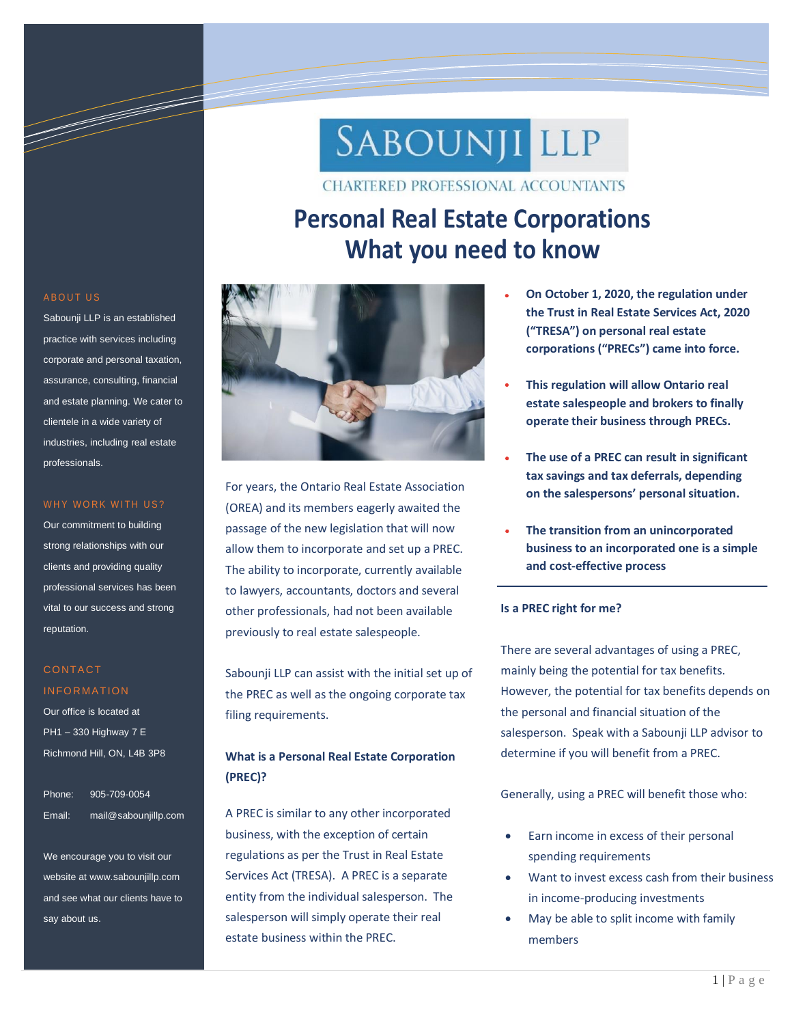# SABOUNJI LLP

**CHARTERED PROFESSIONAL ACCOUNTANTS** 

# **Personal Real Estate Corporations What you need to know**



For years, the Ontario Real Estate Association (OREA) and its members eagerly awaited the passage of the new legislation that will now allow them to incorporate and set up a PREC. The ability to incorporate, currently available to lawyers, accountants, doctors and several other professionals, had not been available previously to real estate salespeople.

Sabounji LLP can assist with the initial set up of the PREC as well as the ongoing corporate tax filing requirements.

# **What is a Personal Real Estate Corporation (PREC)?**

A PREC is similar to any other incorporated business, with the exception of certain regulations as per the Trust in Real Estate Services Act (TRESA). A PREC is a separate entity from the individual salesperson. The salesperson will simply operate their real estate business within the PREC.

- **On October 1, 2020, the regulation under the Trust in Real Estate Services Act, 2020 ("TRESA") on personal real estate corporations ("PRECs") came into force.**
- **This regulation will allow Ontario real estate salespeople and brokers to finally operate their business through PRECs.**
- **The use of a PREC can result in significant tax savings and tax deferrals, depending on the salespersons' personal situation.**
- **The transition from an unincorporated business to an incorporated one is a simple and cost-effective process**

## **Is a PREC right for me?**

There are several advantages of using a PREC, mainly being the potential for tax benefits. However, the potential for tax benefits depends on the personal and financial situation of the salesperson. Speak with a Sabounji LLP advisor to determine if you will benefit from a PREC.

Generally, using a PREC will benefit those who:

- Earn income in excess of their personal spending requirements
- Want to invest excess cash from their business in income-producing investments
- May be able to split income with family members

#### **ABOUT US**

Sabounji LLP is an established practice with services including corporate and personal taxation, assurance, consulting, financial and estate planning. We cater to clientele in a wide variety of industries, including real estate professionals.

a de de la companya de la companya de la companya de la companya de la companya de la companya de la companya

Information Technology Solutions

#### WHY WORK WITH US?

Our commitment to building strong relationships with our clients and providing quality professional services has been vital to our success and strong reputation.

## **CONTACT INFORMATION**

Our office is located at PH1 – 330 Highway 7 E Richmond Hill, ON, L4B 3P8

Phone: 905-709-0054 Email: mail@sabounjillp.com

We encourage you to visit our website at www.sabounjillp.com and see what our clients have to say about us.